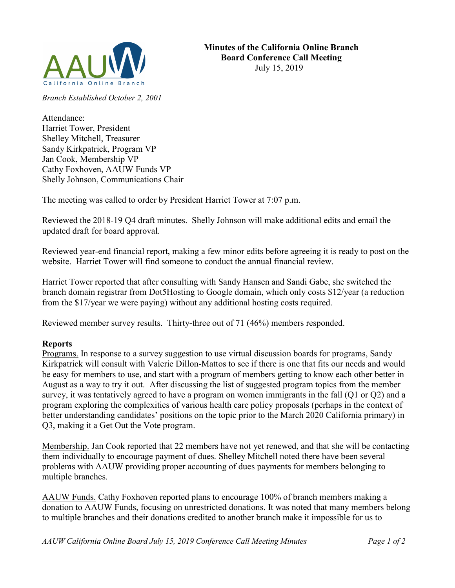

Branch Established October 2, 2001

Attendance: Harriet Tower, President Shelley Mitchell, Treasurer Sandy Kirkpatrick, Program VP Jan Cook, Membership VP Cathy Foxhoven, AAUW Funds VP Shelly Johnson, Communications Chair

The meeting was called to order by President Harriet Tower at 7:07 p.m.

Reviewed the 2018-19 Q4 draft minutes. Shelly Johnson will make additional edits and email the updated draft for board approval.

Reviewed year-end financial report, making a few minor edits before agreeing it is ready to post on the website. Harriet Tower will find someone to conduct the annual financial review.

Harriet Tower reported that after consulting with Sandy Hansen and Sandi Gabe, she switched the branch domain registrar from Dot5Hosting to Google domain, which only costs \$12/year (a reduction from the \$17/year we were paying) without any additional hosting costs required.

Reviewed member survey results. Thirty-three out of 71 (46%) members responded.

## Reports

Programs. In response to a survey suggestion to use virtual discussion boards for programs, Sandy Kirkpatrick will consult with Valerie Dillon-Mattos to see if there is one that fits our needs and would be easy for members to use, and start with a program of members getting to know each other better in August as a way to try it out. After discussing the list of suggested program topics from the member survey, it was tentatively agreed to have a program on women immigrants in the fall (Q1 or Q2) and a program exploring the complexities of various health care policy proposals (perhaps in the context of better understanding candidates' positions on the topic prior to the March 2020 California primary) in Q3, making it a Get Out the Vote program.

Membership. Jan Cook reported that 22 members have not yet renewed, and that she will be contacting them individually to encourage payment of dues. Shelley Mitchell noted there have been several problems with AAUW providing proper accounting of dues payments for members belonging to multiple branches.

AAUW Funds. Cathy Foxhoven reported plans to encourage 100% of branch members making a donation to AAUW Funds, focusing on unrestricted donations. It was noted that many members belong to multiple branches and their donations credited to another branch make it impossible for us to

AAUW California Online Board July 15, 2019 Conference Call Meeting Minutes Page 1 of 2